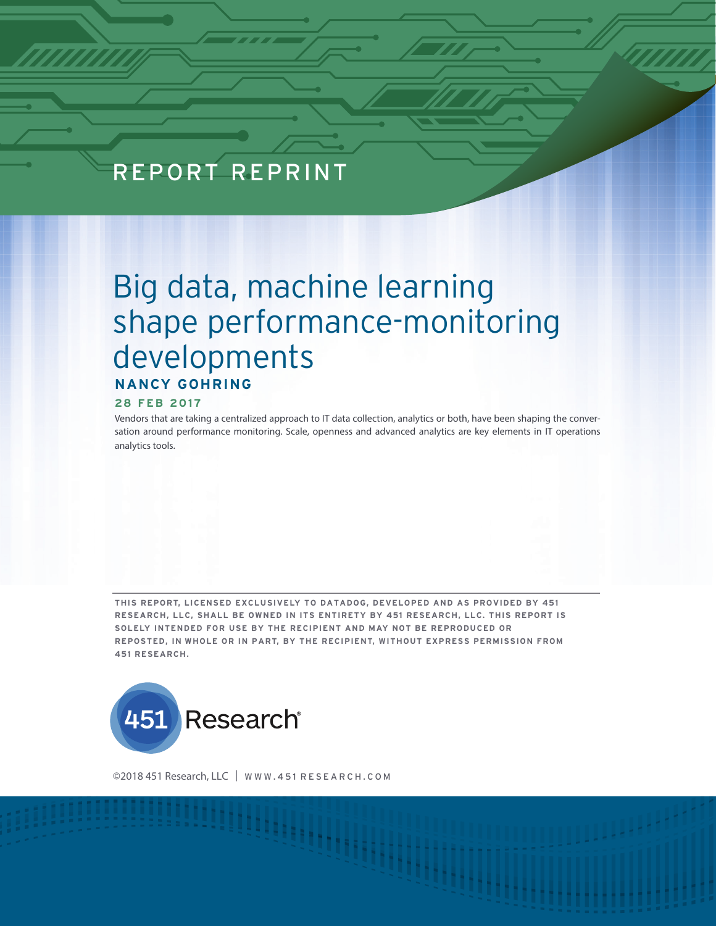# REPORT REPRINT

# Big data, machine learning shape performance-monitoring developments **NANCY GOHRING**

#### **28 FEB 2017**

Vendors that are taking a centralized approach to IT data collection, analytics or both, have been shaping the conversation around performance monitoring. Scale, openness and advanced analytics are key elements in IT operations analytics tools.

**THIS REPORT, LICENSED EXCLUSIVELY TO DATADOG, DEVELOPED AND AS PROVIDED BY 451 RESEARCH, LLC, SHALL BE OWNED IN ITS ENTIRETY BY 451 RESEARCH, LLC. THIS REPORT IS SOLELY INTENDED FOR USE BY THE RECIPIENT AND MAY NOT BE REPRODUCED OR REPOSTED, IN WHOLE OR IN PART, BY THE RECIPIENT, WITHOUT EXPRESS PERMISSION FROM 451 RESEARCH.** 



©2018 451 Research, LLC | WWW.451 RESEARCH.COM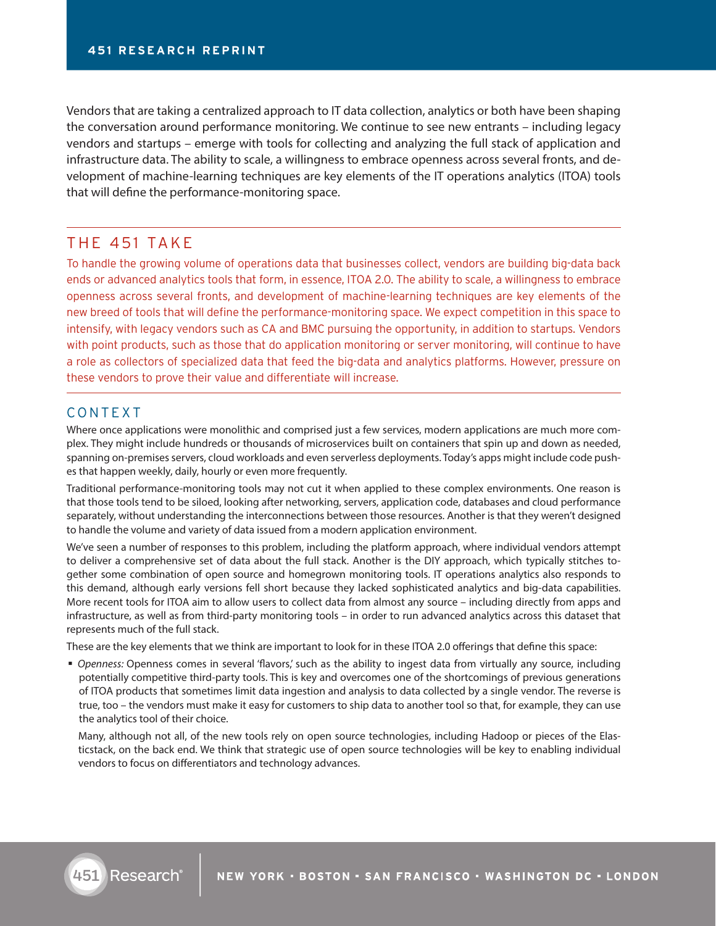Vendors that are taking a centralized approach to IT data collection, analytics or both have been shaping the conversation around performance monitoring. We continue to see new entrants – including legacy vendors and startups – emerge with tools for collecting and analyzing the full stack of application and infrastructure data. The ability to scale, a willingness to embrace openness across several fronts, and development of machine-learning techniques are key elements of the IT operations analytics (ITOA) tools that will define the performance-monitoring space.

# THE 451 TAKE

To handle the growing volume of operations data that businesses collect, vendors are building big-data back ends or advanced analytics tools that form, in essence, ITOA 2.0. The ability to scale, a willingness to embrace openness across several fronts, and development of machine-learning techniques are key elements of the new breed of tools that will define the performance-monitoring space. We expect competition in this space to intensify, with legacy vendors such as CA and BMC pursuing the opportunity, in addition to startups. Vendors with point products, such as those that do application monitoring or server monitoring, will continue to have a role as collectors of specialized data that feed the big-data and analytics platforms. However, pressure on these vendors to prove their value and differentiate will increase.

# CONTEXT

Where once applications were monolithic and comprised just a few services, modern applications are much more complex. They might include hundreds or thousands of microservices built on containers that spin up and down as needed, spanning on-premises servers, cloud workloads and even serverless deployments. Today's apps might include code pushes that happen weekly, daily, hourly or even more frequently.

Traditional performance-monitoring tools may not cut it when applied to these complex environments. One reason is that those tools tend to be siloed, looking after networking, servers, application code, databases and cloud performance separately, without understanding the interconnections between those resources. Another is that they weren't designed to handle the volume and variety of data issued from a modern application environment.

We've seen a number of responses to this problem, including the platform approach, where individual vendors attempt to deliver a comprehensive set of data about the full stack. Another is the DIY approach, which typically stitches together some combination of open source and homegrown monitoring tools. IT operations analytics also responds to this demand, although early versions fell short because they lacked sophisticated analytics and big-data capabilities. More recent tools for ITOA aim to allow users to collect data from almost any source – including directly from apps and infrastructure, as well as from third-party monitoring tools – in order to run advanced analytics across this dataset that represents much of the full stack.

These are the key elements that we think are important to look for in these ITOA 2.0 offerings that define this space:

 *Openness:* Openness comes in several 'flavors,' such as the ability to ingest data from virtually any source, including potentially competitive third-party tools. This is key and overcomes one of the shortcomings of previous generations of ITOA products that sometimes limit data ingestion and analysis to data collected by a single vendor. The reverse is true, too – the vendors must make it easy for customers to ship data to another tool so that, for example, they can use the analytics tool of their choice.

Many, although not all, of the new tools rely on open source technologies, including Hadoop or pieces of the Elasticstack, on the back end. We think that strategic use of open source technologies will be key to enabling individual vendors to focus on differentiators and technology advances.

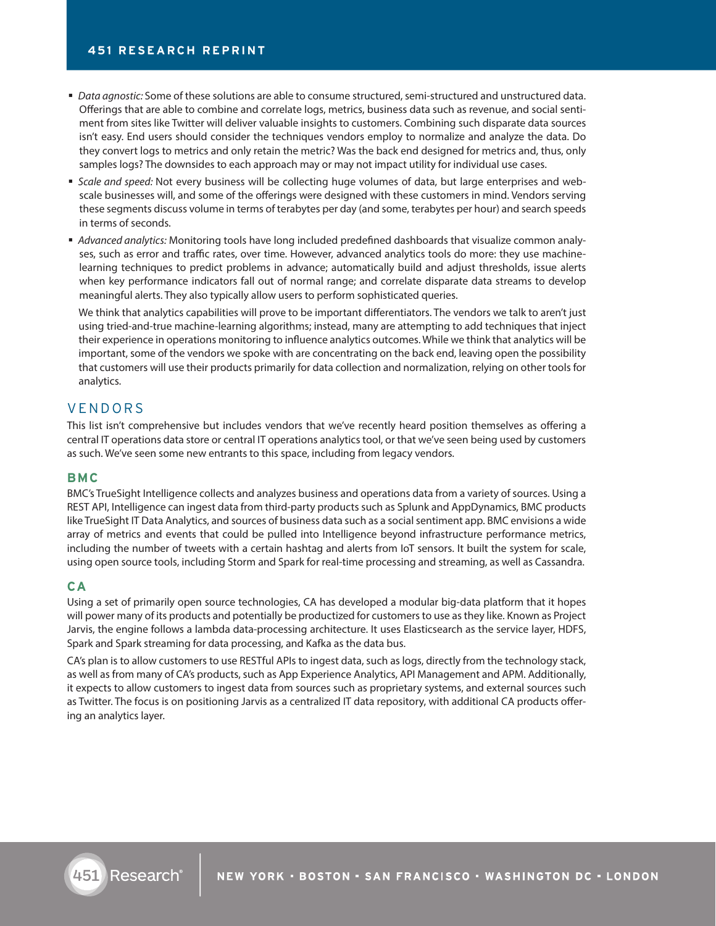- *Data agnostic:* Some of these solutions are able to consume structured, semi-structured and unstructured data. Offerings that are able to combine and correlate logs, metrics, business data such as revenue, and social sentiment from sites like Twitter will deliver valuable insights to customers. Combining such disparate data sources isn't easy. End users should consider the techniques vendors employ to normalize and analyze the data. Do they convert logs to metrics and only retain the metric? Was the back end designed for metrics and, thus, only samples logs? The downsides to each approach may or may not impact utility for individual use cases.
- *Scale and speed:* Not every business will be collecting huge volumes of data, but large enterprises and webscale businesses will, and some of the offerings were designed with these customers in mind. Vendors serving these segments discuss volume in terms of terabytes per day (and some, terabytes per hour) and search speeds in terms of seconds.
- *Advanced analytics:* Monitoring tools have long included predefined dashboards that visualize common analyses, such as error and traffic rates, over time. However, advanced analytics tools do more: they use machinelearning techniques to predict problems in advance; automatically build and adjust thresholds, issue alerts when key performance indicators fall out of normal range; and correlate disparate data streams to develop meaningful alerts. They also typically allow users to perform sophisticated queries.

We think that analytics capabilities will prove to be important differentiators. The vendors we talk to aren't just using tried-and-true machine-learning algorithms; instead, many are attempting to add techniques that inject their experience in operations monitoring to influence analytics outcomes. While we think that analytics will be important, some of the vendors we spoke with are concentrating on the back end, leaving open the possibility that customers will use their products primarily for data collection and normalization, relying on other tools for analytics.

## VENDORS

This list isn't comprehensive but includes vendors that we've recently heard position themselves as offering a central IT operations data store or central IT operations analytics tool, or that we've seen being used by customers as such. We've seen some new entrants to this space, including from legacy vendors.

#### **BMC**

BMC's TrueSight Intelligence collects and analyzes business and operations data from a variety of sources. Using a REST API, Intelligence can ingest data from third-party products such as Splunk and AppDynamics, BMC products like TrueSight IT Data Analytics, and sources of business data such as a social sentiment app. BMC envisions a wide array of metrics and events that could be pulled into Intelligence beyond infrastructure performance metrics, including the number of tweets with a certain hashtag and alerts from IoT sensors. It built the system for scale, using open source tools, including Storm and Spark for real-time processing and streaming, as well as Cassandra.

#### **CA**

Using a set of primarily open source technologies, CA has developed a modular big-data platform that it hopes will power many of its products and potentially be productized for customers to use as they like. Known as Project Jarvis, the engine follows a lambda data-processing architecture. It uses Elasticsearch as the service layer, HDFS, Spark and Spark streaming for data processing, and Kafka as the data bus.

CA's plan is to allow customers to use RESTful APIs to ingest data, such as logs, directly from the technology stack, as well as from many of CA's products, such as App Experience Analytics, API Management and APM. Additionally, it expects to allow customers to ingest data from sources such as proprietary systems, and external sources such as Twitter. The focus is on positioning Jarvis as a centralized IT data repository, with additional CA products offering an analytics layer.

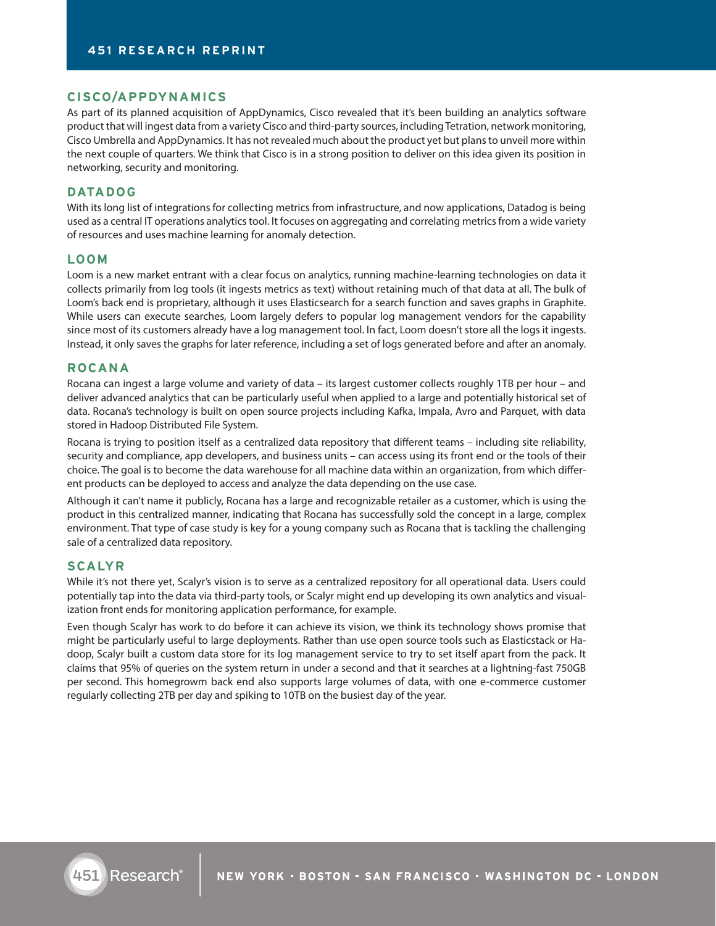### **CISCO/APPDYNAMICS**

As part of its planned acquisition of AppDynamics, Cisco revealed that it's been building an analytics software product that will ingest data from a variety Cisco and third-party sources, including Tetration, network monitoring, Cisco Umbrella and AppDynamics. It has not revealed much about the product yet but plans to unveil more within the next couple of quarters. We think that Cisco is in a strong position to deliver on this idea given its position in networking, security and monitoring.

## **DATADOG**

With its long list of integrations for collecting metrics from infrastructure, and now applications, Datadog is being used as a central IT operations analytics tool. It focuses on aggregating and correlating metrics from a wide variety of resources and uses machine learning for anomaly detection.

#### **LOOM**

Loom is a new market entrant with a clear focus on analytics, running machine-learning technologies on data it collects primarily from log tools (it ingests metrics as text) without retaining much of that data at all. The bulk of Loom's back end is proprietary, although it uses Elasticsearch for a search function and saves graphs in Graphite. While users can execute searches, Loom largely defers to popular log management vendors for the capability since most of its customers already have a log management tool. In fact, Loom doesn't store all the logs it ingests. Instead, it only saves the graphs for later reference, including a set of logs generated before and after an anomaly.

#### **ROCANA**

Rocana can ingest a large volume and variety of data – its largest customer collects roughly 1TB per hour – and deliver advanced analytics that can be particularly useful when applied to a large and potentially historical set of data. Rocana's technology is built on open source projects including Kafka, Impala, Avro and Parquet, with data stored in Hadoop Distributed File System.

Rocana is trying to position itself as a centralized data repository that different teams – including site reliability, security and compliance, app developers, and business units – can access using its front end or the tools of their choice. The goal is to become the data warehouse for all machine data within an organization, from which different products can be deployed to access and analyze the data depending on the use case.

Although it can't name it publicly, Rocana has a large and recognizable retailer as a customer, which is using the product in this centralized manner, indicating that Rocana has successfully sold the concept in a large, complex environment. That type of case study is key for a young company such as Rocana that is tackling the challenging sale of a centralized data repository.

#### **SCALYR**

While it's not there yet, Scalyr's vision is to serve as a centralized repository for all operational data. Users could potentially tap into the data via third-party tools, or Scalyr might end up developing its own analytics and visualization front ends for monitoring application performance, for example.

Even though Scalyr has work to do before it can achieve its vision, we think its technology shows promise that might be particularly useful to large deployments. Rather than use open source tools such as Elasticstack or Hadoop, Scalyr built a custom data store for its log management service to try to set itself apart from the pack. It claims that 95% of queries on the system return in under a second and that it searches at a lightning-fast 750GB per second. This homegrowm back end also supports large volumes of data, with one e-commerce customer regularly collecting 2TB per day and spiking to 10TB on the busiest day of the year.